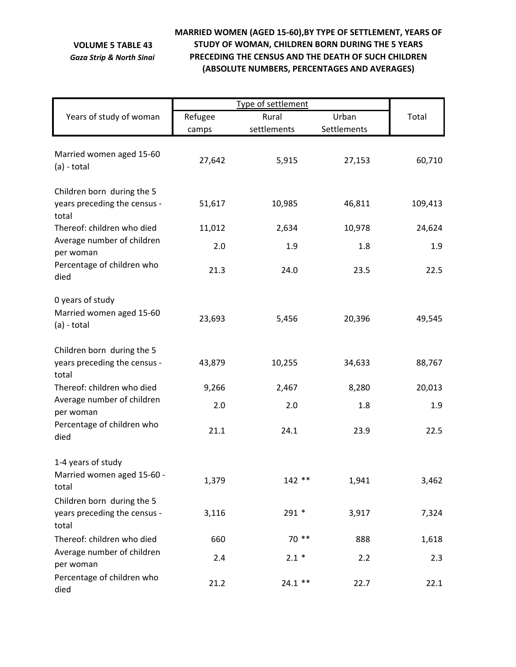## **VOLUME 5 TABLE 43** *Gaza Strip & North Sinai*

## **MARRIED WOMEN (AGED 15‐60),BY TYPE OF SETTLEMENT, YEARS OF STUDY OF WOMAN, CHILDREN BORN DURING THE 5 YEARS PRECEDING THE CENSUS AND THE DEATH OF SUCH CHILDREN (ABSOLUTE NUMBERS, PERCENTAGES AND AVERAGES)**

| Years of study of woman                                             | Refugee | Urban<br>Rural |             | Total   |
|---------------------------------------------------------------------|---------|----------------|-------------|---------|
|                                                                     | camps   | settlements    | Settlements |         |
| Married women aged 15-60<br>$(a) - total$                           | 27,642  | 5,915          | 27,153      | 60,710  |
| Children born during the 5<br>years preceding the census -<br>total | 51,617  | 10,985         | 46,811      | 109,413 |
| Thereof: children who died                                          | 11,012  | 2,634          | 10,978      | 24,624  |
| Average number of children<br>per woman                             | 2.0     | 1.9            | 1.8         | 1.9     |
| Percentage of children who<br>died                                  | 21.3    | 24.0           | 23.5        | 22.5    |
| 0 years of study<br>Married women aged 15-60<br>(a) - total         | 23,693  | 5,456          | 20,396      | 49,545  |
| Children born during the 5<br>years preceding the census -<br>total | 43,879  | 10,255         | 34,633      | 88,767  |
| Thereof: children who died                                          | 9,266   | 2,467          | 8,280       | 20,013  |
| Average number of children<br>per woman                             | 2.0     | 2.0            | 1.8         | 1.9     |
| Percentage of children who<br>died                                  | 21.1    | 24.1           | 23.9        | 22.5    |
| 1-4 years of study<br>Married women aged 15-60 -<br>total           | 1,379   | $142**$        | 1,941       | 3,462   |
| Children born during the 5<br>years preceding the census -<br>total | 3,116   | $291*$         | 3,917       | 7,324   |
| Thereof: children who died                                          | 660     | $70**$         | 888         | 1,618   |
| Average number of children<br>per woman                             | 2.4     | $2.1 *$        | 2.2         | 2.3     |
| Percentage of children who<br>died                                  | 21.2    | $24.1$ **      | 22.7        | 22.1    |